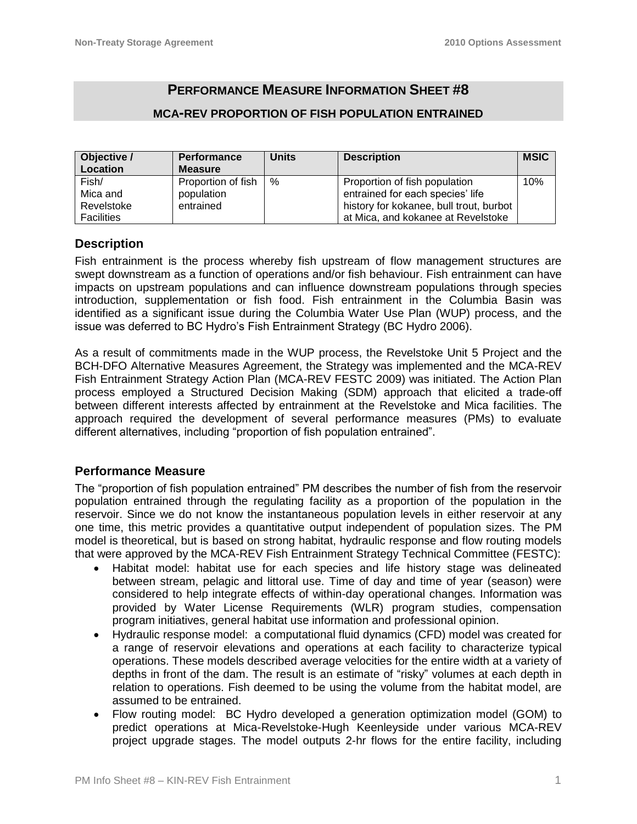# **PERFORMANCE MEASURE INFORMATION SHEET #8**

## **MCA-REV PROPORTION OF FISH POPULATION ENTRAINED**

| Objective /       | <b>Performance</b> | <b>Units</b> | <b>Description</b>                      | <b>MSIC</b> |
|-------------------|--------------------|--------------|-----------------------------------------|-------------|
| Location          | <b>Measure</b>     |              |                                         |             |
| Fish/             | Proportion of fish | %            | Proportion of fish population           | 10%         |
| Mica and          | population         |              | entrained for each species' life        |             |
| Revelstoke        | entrained          |              | history for kokanee, bull trout, burbot |             |
| <b>Facilities</b> |                    |              | at Mica, and kokanee at Revelstoke      |             |

### **Description**

Fish entrainment is the process whereby fish upstream of flow management structures are swept downstream as a function of operations and/or fish behaviour. Fish entrainment can have impacts on upstream populations and can influence downstream populations through species introduction, supplementation or fish food. Fish entrainment in the Columbia Basin was identified as a significant issue during the Columbia Water Use Plan (WUP) process, and the issue was deferred to BC Hydro's Fish Entrainment Strategy (BC Hydro 2006).

As a result of commitments made in the WUP process, the Revelstoke Unit 5 Project and the BCH-DFO Alternative Measures Agreement, the Strategy was implemented and the MCA-REV Fish Entrainment Strategy Action Plan (MCA-REV FESTC 2009) was initiated. The Action Plan process employed a Structured Decision Making (SDM) approach that elicited a trade-off between different interests affected by entrainment at the Revelstoke and Mica facilities. The approach required the development of several performance measures (PMs) to evaluate different alternatives, including "proportion of fish population entrained".

## **Performance Measure**

The "proportion of fish population entrained" PM describes the number of fish from the reservoir population entrained through the regulating facility as a proportion of the population in the reservoir. Since we do not know the instantaneous population levels in either reservoir at any one time, this metric provides a quantitative output independent of population sizes. The PM model is theoretical, but is based on strong habitat, hydraulic response and flow routing models that were approved by the MCA-REV Fish Entrainment Strategy Technical Committee (FESTC):

- Habitat model: habitat use for each species and life history stage was delineated between stream, pelagic and littoral use. Time of day and time of year (season) were considered to help integrate effects of within-day operational changes. Information was provided by Water License Requirements (WLR) program studies, compensation program initiatives, general habitat use information and professional opinion.
- Hydraulic response model: a computational fluid dynamics (CFD) model was created for a range of reservoir elevations and operations at each facility to characterize typical operations. These models described average velocities for the entire width at a variety of depths in front of the dam. The result is an estimate of "risky" volumes at each depth in relation to operations. Fish deemed to be using the volume from the habitat model, are assumed to be entrained.
- Flow routing model: BC Hydro developed a generation optimization model (GOM) to predict operations at Mica-Revelstoke-Hugh Keenleyside under various MCA-REV project upgrade stages. The model outputs 2-hr flows for the entire facility, including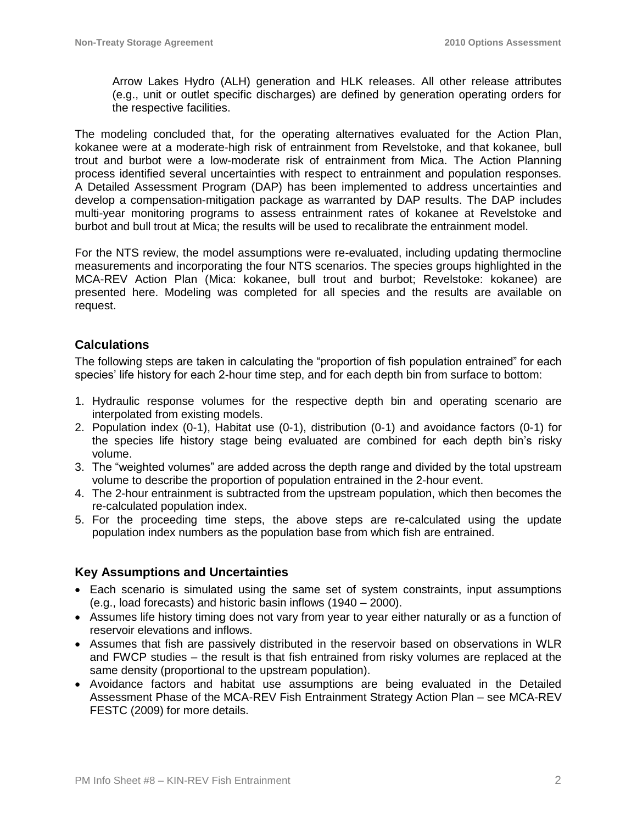Arrow Lakes Hydro (ALH) generation and HLK releases. All other release attributes (e.g., unit or outlet specific discharges) are defined by generation operating orders for the respective facilities.

The modeling concluded that, for the operating alternatives evaluated for the Action Plan, kokanee were at a moderate-high risk of entrainment from Revelstoke, and that kokanee, bull trout and burbot were a low-moderate risk of entrainment from Mica. The Action Planning process identified several uncertainties with respect to entrainment and population responses. A Detailed Assessment Program (DAP) has been implemented to address uncertainties and develop a compensation-mitigation package as warranted by DAP results. The DAP includes multi-year monitoring programs to assess entrainment rates of kokanee at Revelstoke and burbot and bull trout at Mica; the results will be used to recalibrate the entrainment model.

For the NTS review, the model assumptions were re-evaluated, including updating thermocline measurements and incorporating the four NTS scenarios. The species groups highlighted in the MCA-REV Action Plan (Mica: kokanee, bull trout and burbot; Revelstoke: kokanee) are presented here. Modeling was completed for all species and the results are available on request.

### **Calculations**

The following steps are taken in calculating the "proportion of fish population entrained" for each species' life history for each 2-hour time step, and for each depth bin from surface to bottom:

- 1. Hydraulic response volumes for the respective depth bin and operating scenario are interpolated from existing models.
- 2. Population index (0-1), Habitat use (0-1), distribution (0-1) and avoidance factors (0-1) for the species life history stage being evaluated are combined for each depth bin's risky volume.
- 3. The "weighted volumes" are added across the depth range and divided by the total upstream volume to describe the proportion of population entrained in the 2-hour event.
- 4. The 2-hour entrainment is subtracted from the upstream population, which then becomes the re-calculated population index.
- 5. For the proceeding time steps, the above steps are re-calculated using the update population index numbers as the population base from which fish are entrained.

## **Key Assumptions and Uncertainties**

- Each scenario is simulated using the same set of system constraints, input assumptions (e.g., load forecasts) and historic basin inflows (1940 – 2000).
- Assumes life history timing does not vary from year to year either naturally or as a function of reservoir elevations and inflows.
- Assumes that fish are passively distributed in the reservoir based on observations in WLR and FWCP studies – the result is that fish entrained from risky volumes are replaced at the same density (proportional to the upstream population).
- Avoidance factors and habitat use assumptions are being evaluated in the Detailed Assessment Phase of the MCA-REV Fish Entrainment Strategy Action Plan – see MCA-REV FESTC (2009) for more details.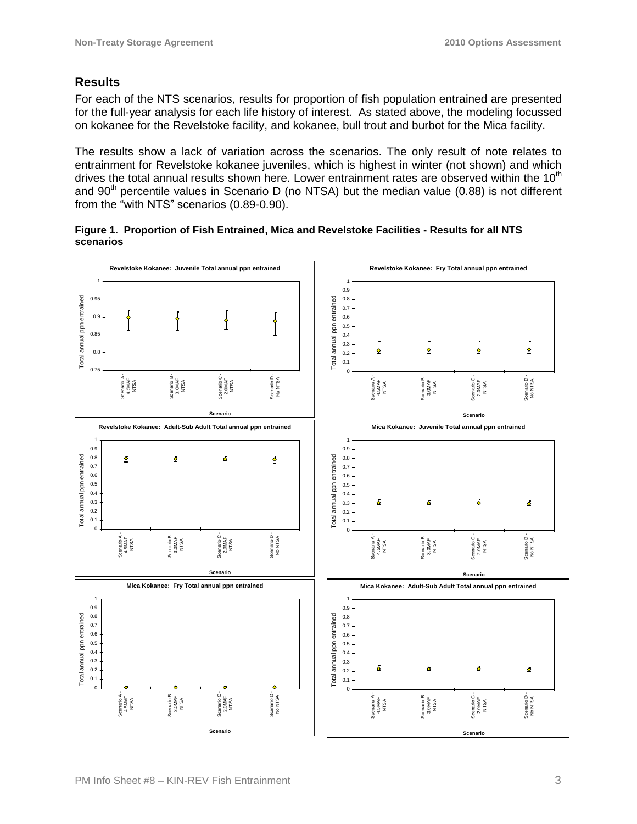## **Results**

For each of the NTS scenarios, results for proportion of fish population entrained are presented for the full-year analysis for each life history of interest. As stated above, the modeling focussed on kokanee for the Revelstoke facility, and kokanee, bull trout and burbot for the Mica facility.

The results show a lack of variation across the scenarios. The only result of note relates to entrainment for Revelstoke kokanee juveniles, which is highest in winter (not shown) and which drives the total annual results shown here. Lower entrainment rates are observed within the 10<sup>th</sup> and 90<sup>th</sup> percentile values in Scenario D (no NTSA) but the median value (0.88) is not different from the "with NTS" scenarios (0.89-0.90).

**Figure 1. Proportion of Fish Entrained, Mica and Revelstoke Facilities - Results for all NTS scenarios**